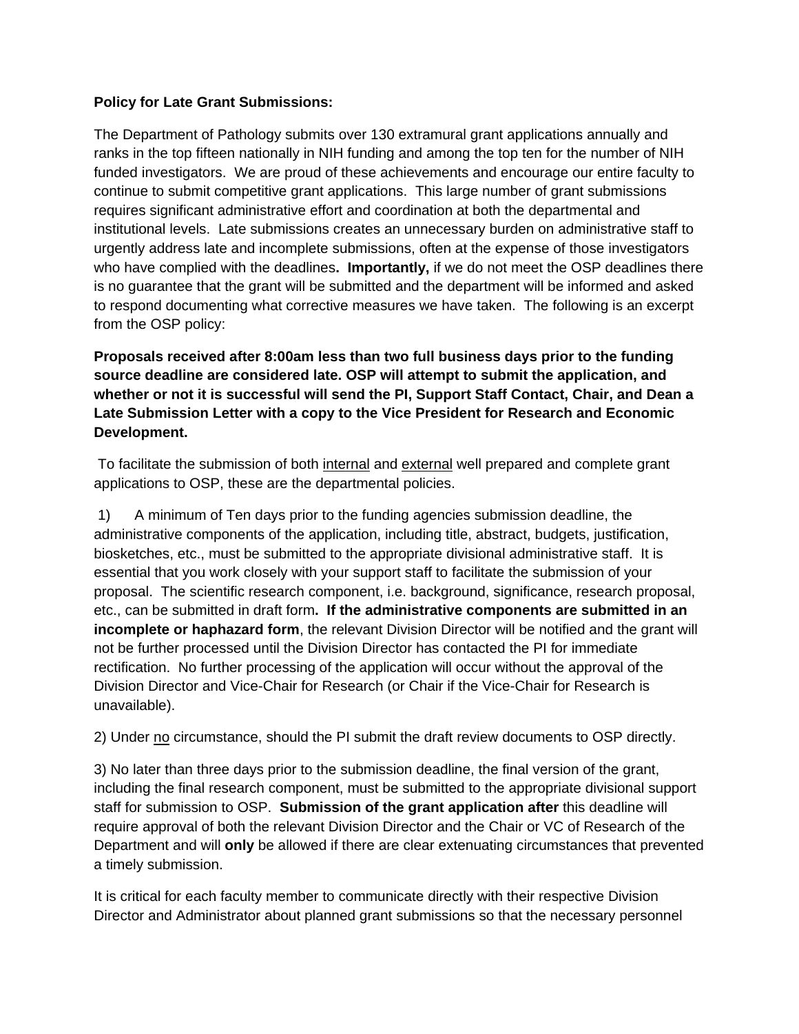## **Policy for Late Grant Submissions:**

The Department of Pathology submits over 130 extramural grant applications annually and ranks in the top fifteen nationally in NIH funding and among the top ten for the number of NIH funded investigators. We are proud of these achievements and encourage our entire faculty to continue to submit competitive grant applications. This large number of grant submissions requires significant administrative effort and coordination at both the departmental and institutional levels. Late submissions creates an unnecessary burden on administrative staff to urgently address late and incomplete submissions, often at the expense of those investigators who have complied with the deadlines**. Importantly,** if we do not meet the OSP deadlines there is no guarantee that the grant will be submitted and the department will be informed and asked to respond documenting what corrective measures we have taken. The following is an excerpt from the OSP policy:

**Proposals received after 8:00am less than two full business days prior to the funding source deadline are considered late. OSP will attempt to submit the application, and whether or not it is successful will send the PI, Support Staff Contact, Chair, and Dean a Late Submission Letter with a copy to the Vice President for Research and Economic Development.** 

To facilitate the submission of both internal and external well prepared and complete grant applications to OSP, these are the departmental policies.

 1) A minimum of Ten days prior to the funding agencies submission deadline, the administrative components of the application, including title, abstract, budgets, justification, biosketches, etc., must be submitted to the appropriate divisional administrative staff. It is essential that you work closely with your support staff to facilitate the submission of your proposal. The scientific research component, i.e. background, significance, research proposal, etc., can be submitted in draft form**. If the administrative components are submitted in an incomplete or haphazard form**, the relevant Division Director will be notified and the grant will not be further processed until the Division Director has contacted the PI for immediate rectification. No further processing of the application will occur without the approval of the Division Director and Vice-Chair for Research (or Chair if the Vice-Chair for Research is unavailable).

2) Under no circumstance, should the PI submit the draft review documents to OSP directly.

3) No later than three days prior to the submission deadline, the final version of the grant, including the final research component, must be submitted to the appropriate divisional support staff for submission to OSP. **Submission of the grant application after** this deadline will require approval of both the relevant Division Director and the Chair or VC of Research of the Department and will **only** be allowed if there are clear extenuating circumstances that prevented a timely submission.

It is critical for each faculty member to communicate directly with their respective Division Director and Administrator about planned grant submissions so that the necessary personnel